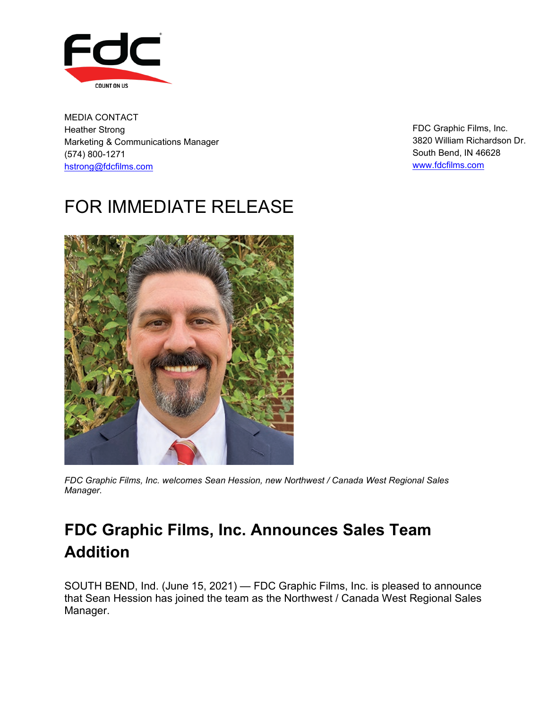

MEDIA CONTACT Heather Strong Marketing & Communications Manager (574) 800-1271 hstrong@fdcfilms.com

FDC Graphic Films, Inc. 3820 William Richardson Dr. South Bend, IN 46628 [www.fdcfilms.com](http://www.fdcfilms.com/)

## FOR IMMEDIATE RELEASE



*FDC Graphic Films, Inc. welcomes Sean Hession, new Northwest / Canada West Regional Sales Manager.*

## **FDC Graphic Films, Inc. Announces Sales Team Addition**

SOUTH BEND, Ind. (June 15, 2021) — FDC Graphic Films, Inc. is pleased to announce that Sean Hession has joined the team as the Northwest / Canada West Regional Sales Manager.